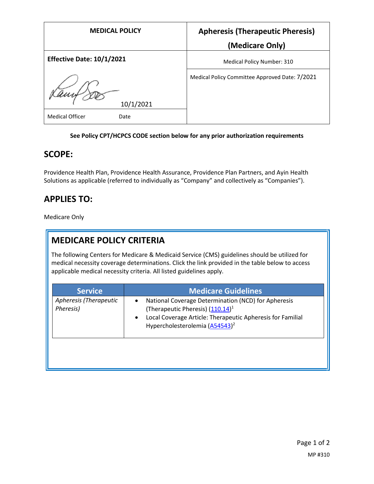| <b>MEDICAL POLICY</b>            | <b>Apheresis (Therapeutic Pheresis)</b>        |
|----------------------------------|------------------------------------------------|
|                                  | (Medicare Only)                                |
| <b>Effective Date: 10/1/2021</b> | Medical Policy Number: 310                     |
| 10/1/2021                        | Medical Policy Committee Approved Date: 7/2021 |
| <b>Medical Officer</b><br>Date   |                                                |

#### **See Policy CPT/HCPCS CODE section below for any prior authorization requirements**

## **SCOPE:**

Providence Health Plan, Providence Health Assurance, Providence Plan Partners, and Ayin Health Solutions as applicable (referred to individually as "Company" and collectively as "Companies").

# **APPLIES TO:**

Medicare Only

# **MEDICARE POLICY CRITERIA**

The following Centers for Medicare & Medicaid Service (CMS) guidelines should be utilized for medical necessity coverage determinations. Click the link provided in the table below to access applicable medical necessity criteria. All listed guidelines apply.

| <b>Service</b>                      | <b>Medicare Guidelines</b>                                                                                                                                                                                                                |
|-------------------------------------|-------------------------------------------------------------------------------------------------------------------------------------------------------------------------------------------------------------------------------------------|
| Apheresis (Therapeutic<br>Pheresis) | National Coverage Determination (NCD) for Apheresis<br>$\bullet$<br>(Therapeutic Pheresis) (110.14) <sup>1</sup><br>Local Coverage Article: Therapeutic Apheresis for Familial<br>$\bullet$<br>Hypercholesterolemia (A54543) <sup>2</sup> |
|                                     |                                                                                                                                                                                                                                           |